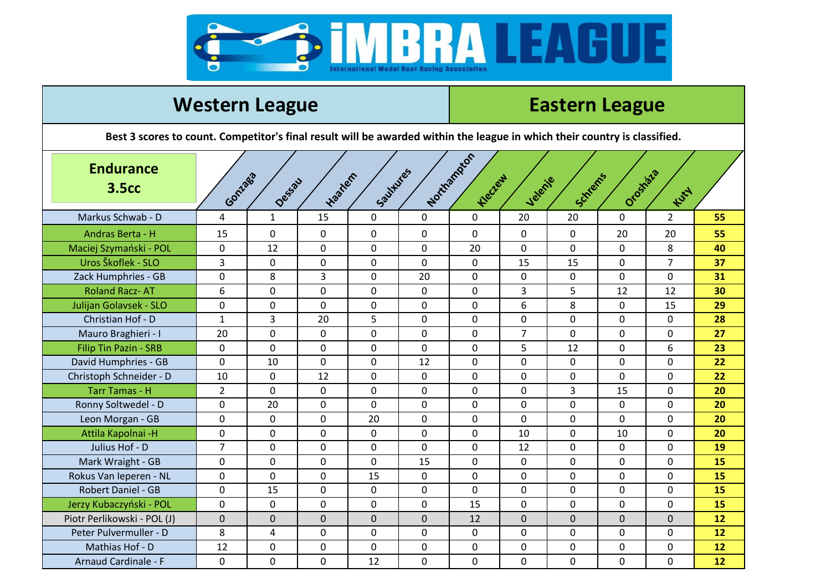

## **Western League League League Eastern League Best 3 scores to count. Competitor's final result will be awarded within the league in which their country is classified. Gonzaga Dessau Haarlem Saultures Northampton Kleczew Velenje Schrems Orosháza Kuty** Markus Schwab - D 4 1 15 0 0 0 20 20 0 2 **55** Andras Berta - H | 15 | 0 | 0 | 0 | 0 | 0 | 0 | 0 | 0 | 20 <mark>| 55</mark> Maciej Szymański - POL 0 12 0 0 0 20 0 0 0 8 **40** Uros Škoflek - SLO 3 0 0 0 0 0 15 15 0 7 **37** Zack Humphries - GB 0 8 3 0 20 0 0 0 0 0 **31** Roland Racz- AT 6 0 0 0 0 0 3 5 12 12 **30** Julijan Golavsek - SLO 0 0 0 0 0 0 6 8 0 15 **29** Christian Hof - D 1 3 20 5 0 0 0 0 0 0 **28** Mauro Braghieri - I 20 0 0 0 0 0 0 0 0 0 1 7 0 0 0 0 27 Filip Tin Pazin - SRB 0 0 0 0 0 0 5 12 0 6 **23** David Humphries - GB 0 0 10 0 0 0 0 12 0 0 0 0 0 0 22 Christoph Schneider - D 10 0 12 0 0 0 0 0 0 0 0 0 22 Tarr Tamas - H 2 0 0 0 0 0 0 3 15 0 **20** Ronny Soltwedel - D 0 20 0 0 0 0 0 0 0 0 0 0 0 20 Leon Morgan - GB 0 0 0 20 0 0 0 0 0 0 **20** Attila Kapolnai -H 0 0 0 0 0 0 10 0 10 0 **20** Julius Hof - D 7 0 0 0 0 0 12 0 0 0 **19** Mark Wraight - GB **d** 0 0 0 0 0 0 0 0 0 15 0 0 0 0 0 0 0 15 Rokus Van Ieperen - NL 0 0 0 0 0 0 0 15 0 0 0 0 0 0 0 0 0 10 0 15 Robert Daniel - GB 0 15 0 0 0 0 0 1**5** Jerzy Kubaczyński - POL 0 0 0 0 0 15 0 0 0 0 **15** Piotr Perlikowski - POL (J) 0 0 0 0 0 12 0 0 0 0 **12** Peter Pulvermuller - D 8 4 4 0 0 0 0 0 0 0 0 0 0 0 0 12 Mathias Hof - D 12 0 0 0 0 0 0 0 0 0 **12** Arnaud Cardinale - F 0 0 0 0 0 0 12 0 0 0 0 0 0 0 0 12 **Endurance 3.5cc**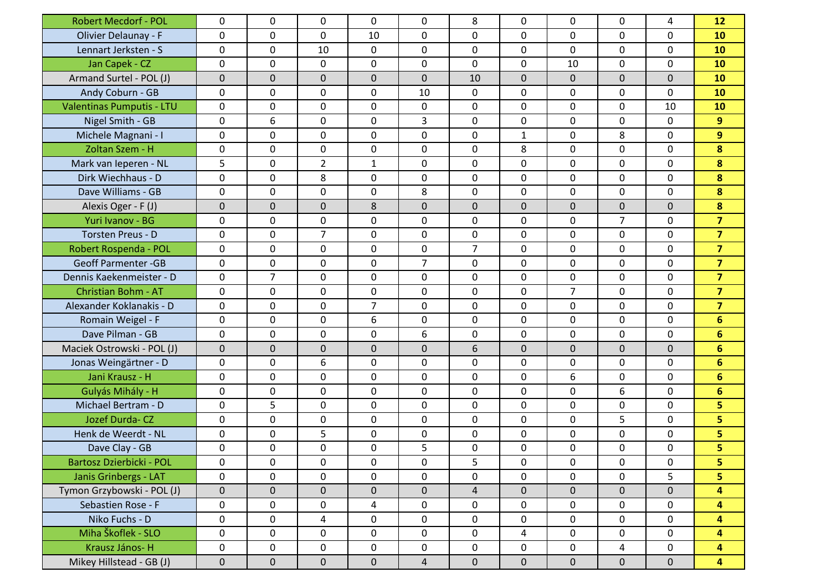| <b>Robert Mecdorf - POL</b> | 0            | 0              | 0              | 0              | 0              | 8              | 0            | 0              | 0              | 4            | 12                      |
|-----------------------------|--------------|----------------|----------------|----------------|----------------|----------------|--------------|----------------|----------------|--------------|-------------------------|
| Olivier Delaunay - F        | 0            | $\mathbf 0$    | 0              | 10             | 0              | $\mathbf 0$    | 0            | 0              | 0              | $\mathbf 0$  | 10                      |
| Lennart Jerksten - S        | 0            | 0              | 10             | $\mathbf 0$    | 0              | 0              | 0            | 0              | 0              | $\Omega$     | 10                      |
| Jan Capek - CZ              | 0            | $\mathbf 0$    | 0              | 0              | 0              | $\mathbf 0$    | 0            | 10             | 0              | $\mathbf{0}$ | 10                      |
| Armand Surtel - POL (J)     | $\mathbf 0$  | $\mathbf 0$    | 0              | $\mathbf{0}$   | $\Omega$       | 10             | $\mathbf 0$  | $\mathbf{0}$   | $\Omega$       | $\mathbf{0}$ | 10                      |
| Andy Coburn - GB            | 0            | 0              | 0              | 0              | 10             | 0              | 0            | 0              | 0              | $\mathbf{0}$ | 10                      |
| Valentinas Pumputis - LTU   | 0            | $\mathbf 0$    | 0              | 0              | 0              | $\mathbf 0$    | 0            | 0              | 0              | 10           | 10                      |
| Nigel Smith - GB            | 0            | 6              | 0              | $\mathbf 0$    | 3              | $\mathbf 0$    | 0            | 0              | 0              | $\mathbf{0}$ | 9                       |
| Michele Magnani - I         | 0            | $\mathbf{0}$   | 0              | 0              | 0              | $\mathbf 0$    | $\mathbf{1}$ | 0              | 8              | $\mathbf{0}$ | 9                       |
| Zoltan Szem - H             | 0            | 0              | 0              | 0              | $\mathbf{0}$   | 0              | 8            | 0              | 0              | $\mathbf{0}$ | 8                       |
| Mark van Ieperen - NL       | 5            | $\mathbf{0}$   | $\overline{2}$ | $\mathbf{1}$   | 0              | $\mathbf 0$    | 0            | 0              | 0              | $\mathbf 0$  | 8                       |
| Dirk Wiechhaus - D          | 0            | $\mathbf 0$    | 8              | 0              | 0              | $\mathbf 0$    | 0            | 0              | 0              | $\mathbf 0$  | 8                       |
| Dave Williams - GB          | 0            | 0              | 0              | 0              | 8              | $\mathbf 0$    | 0            | 0              | 0              | 0            | 8                       |
| Alexis Oger - F (J)         | $\mathbf{0}$ | 0              | 0              | 8              | $\Omega$       | 0              | $\mathbf 0$  | $\mathbf 0$    | $\mathbf{0}$   | $\mathbf{0}$ | 8                       |
| Yuri Ivanov - BG            | 0            | 0              | 0              | 0              | $\mathbf{0}$   | 0              | 0            | 0              | $\overline{7}$ | $\mathbf{0}$ | $\overline{\mathbf{z}}$ |
| Torsten Preus - D           | 0            | $\mathbf{0}$   | $\overline{7}$ | 0              | 0              | $\mathbf 0$    | 0            | 0              | 0              | $\mathbf{0}$ | $\overline{7}$          |
| Robert Rospenda - POL       | 0            | $\mathbf 0$    | 0              | 0              | 0              | $\overline{7}$ | 0            | 0              | 0              | 0            | $\overline{7}$          |
| <b>Geoff Parmenter - GB</b> | 0            | 0              | 0              | 0              | 7              | $\mathbf 0$    | 0            | 0              | 0              | 0            | $\overline{7}$          |
| Dennis Kaekenmeister - D    | 0            | $\overline{7}$ | 0              | 0              | 0              | $\mathbf 0$    | 0            | 0              | 0              | $\mathbf{0}$ | $\overline{7}$          |
| Christian Bohm - AT         | 0            | 0              | 0              | 0              | 0              | $\mathbf{0}$   | 0            | $\overline{7}$ | 0              | $\mathbf{0}$ | $\overline{7}$          |
| Alexander Koklanakis - D    | 0            | $\mathbf{0}$   | 0              | $\overline{7}$ | 0              | $\mathbf 0$    | 0            | 0              | 0              | $\mathbf{0}$ | $\overline{7}$          |
| Romain Weigel - F           | 0            | $\mathbf 0$    | 0              | 6              | 0              | $\mathbf 0$    | 0            | 0              | 0              | $\mathbf 0$  | $6\phantom{1}$          |
| Dave Pilman - GB            | 0            | 0              | 0              | 0              | 6              | 0              | 0            | 0              | 0              | 0            | 6                       |
| Maciek Ostrowski - POL (J)  | $\mathbf{0}$ | $\overline{0}$ | 0              | $\mathbf{0}$   | $\Omega$       | 6              | $\mathbf 0$  | $\mathbf{0}$   | $\mathbf{0}$   | $\mathbf{0}$ | $6\phantom{1}$          |
| Jonas Weingärtner - D       | 0            | 0              | 6              | 0              | $\mathbf{0}$   | 0              | 0            | 0              | 0              | $\mathbf{0}$ | 6                       |
| Jani Krausz - H             | 0            | $\mathbf 0$    | 0              | 0              | 0              | $\mathbf 0$    | 0            | 6              | 0              | $\mathbf 0$  | $6\phantom{1}$          |
| Gulyás Mihály - H           | 0            | $\mathbf 0$    | 0              | 0              | 0              | $\mathbf 0$    | 0            | 0              | 6              | 0            | $6\phantom{1}$          |
| Michael Bertram - D         | 0            | 5              | 0              | 0              | 0              | 0              | 0            | 0              | 0              | 0            | 5                       |
| Jozef Durda-CZ              | 0            | $\mathbf 0$    | 0              | 0              | 0              | $\mathbf 0$    | 0            | 0              | 5              | $\mathbf{0}$ | 5                       |
| Henk de Weerdt - NL         | 0            | 0              | 5              | 0              | 0              | 0              | 0            | 0              | 0              | $\mathbf{0}$ | 5                       |
| Dave Clay - GB              | 0            | $\mathbf 0$    | 0              | 0              | 5              | 0              | 0            | 0              | 0              | $\mathbf 0$  | 5                       |
| Bartosz Dzierbicki - POL    | 0            | 0              | 0              | 0              | 0              | 5              | 0            | 0              | 0              | 0            | 5                       |
| Janis Grinbergs - LAT       | 0            | 0              | 0              | 0              | 0              | $\mathbf 0$    | 0            | 0              | 0              | 5            | 5                       |
| Tymon Grzybowski - POL (J)  | $\pmb{0}$    | $\mathbf 0$    | 0              | $\overline{0}$ | $\mathbf 0$    | $\overline{4}$ | $\mathbf 0$  | $\mathbf{0}$   | $\mathbf 0$    | $\mathbf{0}$ | 4                       |
| Sebastien Rose - F          | 0            | $\mathbf 0$    | 0              | 4              | 0              | $\mathbf 0$    | 0            | 0              | 0              | $\mathbf 0$  | 4                       |
| Niko Fuchs - D              | 0            | $\mathbf 0$    | 4              | $\mathsf{O}$   | $\mathbf 0$    | $\mathbf 0$    | $\mathsf{O}$ | 0              | 0              | $\mathbf{0}$ | 4                       |
| Miha Škoflek - SLO          | 0            | $\mathbf 0$    | 0              | $\mathbf 0$    | 0              | $\mathbf 0$    | 4            | 0              | 0              | $\mathbf 0$  | 4                       |
| Krausz János-H              | 0            | 0              | 0              | 0              | 0              | $\mathbf 0$    | 0            | 0              | 4              | $\mathbf 0$  | 4                       |
| Mikey Hillstead - GB (J)    | 0            | $\mathbf 0$    | $\mathbf 0$    | $\mathbf 0$    | $\overline{4}$ | $\overline{0}$ | $\mathbf{0}$ | $\mathbf 0$    | $\overline{0}$ | $\mathbf{0}$ | $\overline{\mathbf{4}}$ |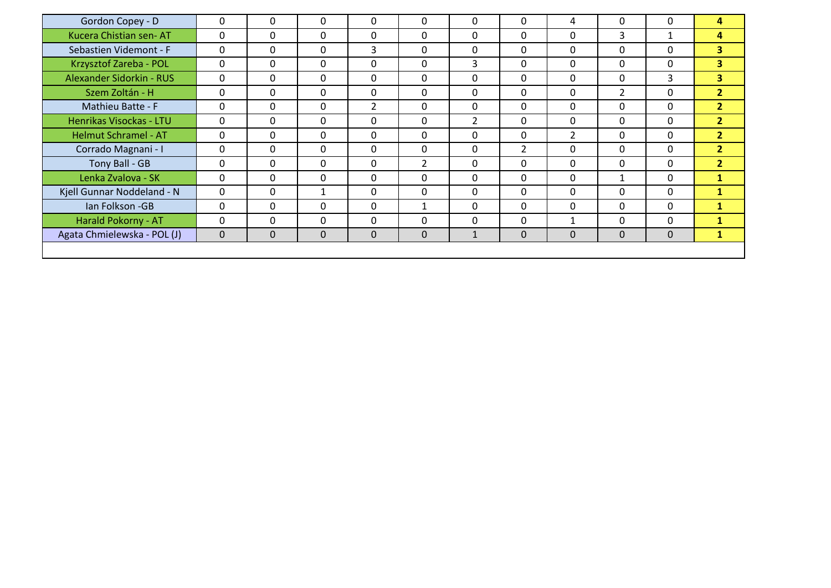| Gordon Copey - D            | $\mathbf{0}$ | 0            | 0            | 0              | $\mathbf{0}$   | 0            | $\mathbf{0}$   | 4              | $\Omega$       | $\Omega$     | 4                       |
|-----------------------------|--------------|--------------|--------------|----------------|----------------|--------------|----------------|----------------|----------------|--------------|-------------------------|
| Kucera Chistian sen-AT      | $\mathbf{0}$ | $\Omega$     | 0            | $\Omega$       | $\Omega$       | 0            | $\mathbf{0}$   | 0              | 3              | $\mathbf{1}$ | 4                       |
| Sebastien Videmont - F      | $\mathbf{0}$ | $\mathbf{0}$ | 0            | 3              | $\mathbf{0}$   | $\Omega$     | $\mathbf{0}$   | 0              | $\mathbf{0}$   | $\Omega$     | $\overline{\mathbf{3}}$ |
| Krzysztof Zareba - POL      | 0            | $\mathbf{0}$ | 0            | $\Omega$       | $\mathbf{0}$   | 3            | $\mathbf{0}$   | 0              | $\mathbf{0}$   | $\Omega$     | $\overline{\mathbf{3}}$ |
| Alexander Sidorkin - RUS    | $\mathbf{0}$ | $\mathbf{0}$ | 0            | $\mathbf{0}$   | $\mathbf{0}$   | 0            | $\mathbf{0}$   | $\mathbf{0}$   | $\mathbf{0}$   | 3            | 3 <sup>1</sup>          |
| Szem Zoltán - H             | $\mathbf{0}$ | $\mathbf{0}$ | 0            | $\mathbf{0}$   | $\mathbf{0}$   | 0            | $\mathbf{0}$   | $\mathbf{0}$   | $\overline{2}$ | $\Omega$     | 2 <sup>1</sup>          |
| Mathieu Batte - F           | $\mathbf{0}$ | 0            | 0            | $\overline{2}$ | $\mathbf{0}$   | $\Omega$     | $\mathbf{0}$   | $\mathbf{0}$   | $\Omega$       | $\Omega$     | 2 <sup>1</sup>          |
| Henrikas Visockas - LTU     | 0            | 0            | $\mathbf{0}$ | $\mathbf{0}$   | $\mathbf{0}$   | 2            | $\mathbf{0}$   | 0              | $\Omega$       | $\Omega$     | 2 <sup>1</sup>          |
| <b>Helmut Schramel - AT</b> | 0            | $\mathbf{0}$ | 0            | $\Omega$       | $\Omega$       | 0            | $\mathbf{0}$   | $\overline{2}$ | $\Omega$       | $\Omega$     | $\overline{2}$          |
| Corrado Magnani - I         | $\mathbf{0}$ | $\mathbf{0}$ | 0            | $\mathbf{0}$   | $\mathbf{0}$   | 0            | $\overline{2}$ | 0              | $\mathbf{0}$   | $\Omega$     | 2 <sup>1</sup>          |
| Tony Ball - GB              | 0            | $\mathbf{0}$ | 0            | $\Omega$       | $\overline{2}$ | 0            | $\mathbf{0}$   | 0              | $\mathbf{0}$   | $\Omega$     | $\overline{2}$          |
| Lenka Zvalova - SK          | 0            | $\mathbf{0}$ | 0            | 0              | $\mathbf{0}$   | 0            | $\mathbf{0}$   | 0              | $\mathbf{1}$   | $\Omega$     | 1                       |
| Kjell Gunnar Noddeland - N  | $\mathbf{0}$ | 0            |              | 0              | $\mathbf{0}$   | 0            | $\mathbf{0}$   | $\mathbf{0}$   | $\Omega$       | $\Omega$     | $\mathbf{1}$            |
| Ian Folkson - GB            | $\mathbf 0$  | $\mathbf{0}$ | 0            | $\Omega$       | $\mathbf{1}$   | 0            | $\mathbf{0}$   | $\mathbf{0}$   | $\Omega$       | $\Omega$     | $\mathbf{1}$            |
| Harald Pokorny - AT         | $\mathbf{0}$ | $\mathbf{0}$ | 0            | $\Omega$       | $\mathbf{0}$   | 0            | 0              | 1              | $\mathbf{0}$   | $\Omega$     | $\mathbf{1}$            |
| Agata Chmielewska - POL (J) | $\mathbf 0$  | $\mathbf 0$  | 0            | 0              | $\mathbf 0$    | $\mathbf{1}$ | $\mathbf 0$    | $\mathbf 0$    | $\mathbf 0$    | $\mathbf 0$  | $\mathbf{1}$            |
|                             |              |              |              |                |                |              |                |                |                |              |                         |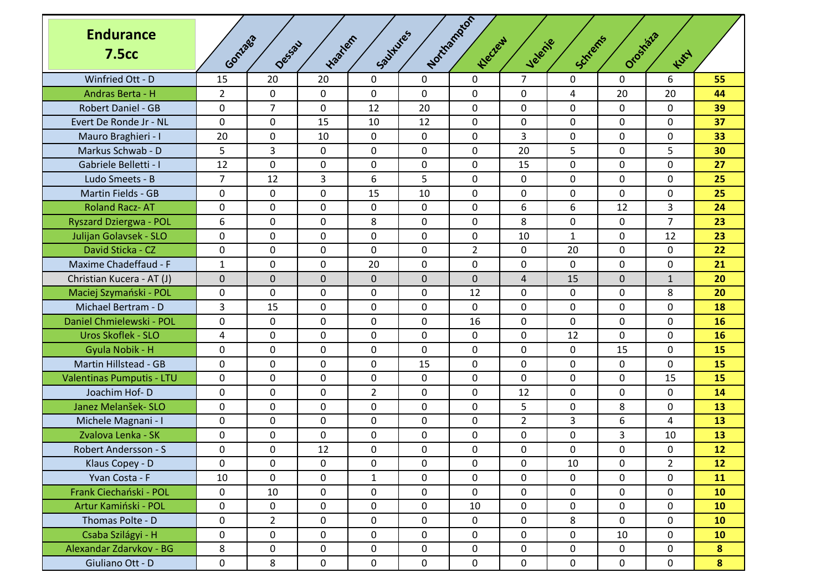| <b>Endurance</b><br><b>7.5cc</b> | Goniago        | Dessau         | trantem      | Southures      |             | Northampton<br>Klecter | Jelenie        | Schlems      | Orostata    | Kutt           |           |
|----------------------------------|----------------|----------------|--------------|----------------|-------------|------------------------|----------------|--------------|-------------|----------------|-----------|
| Winfried Ott - D                 | 15             | 20             | 20           | 0              | $\Omega$    | 0                      | $\overline{7}$ | 0            | 0           | 6              | 55        |
| Andras Berta - H                 | $\overline{2}$ | $\mathbf 0$    | 0            | $\mathbf 0$    | 0           | 0                      | 0              | 4            | 20          | 20             | 44        |
| <b>Robert Daniel - GB</b>        | 0              | $\overline{7}$ | 0            | 12             | 20          | 0                      | 0              | 0            | 0           | 0              | 39        |
| Evert De Ronde Jr - NL           | 0              | $\mathbf 0$    | 15           | 10             | 12          | $\mathbf 0$            | 0              | $\mathbf 0$  | $\mathbf 0$ | 0              | 37        |
| Mauro Braghieri - I              | 20             | 0              | 10           | 0              | 0           | 0                      | 3              | 0            | 0           | 0              | 33        |
| Markus Schwab - D                | 5              | 3              | 0            | 0              | 0           | 0                      | 20             | 5            | $\mathbf 0$ | 5              | 30        |
| Gabriele Belletti - I            | 12             | $\mathbf 0$    | $\mathbf{0}$ | $\Omega$       | 0           | 0                      | 15             | 0            | 0           | $\Omega$       | 27        |
| Ludo Smeets - B                  | 7              | 12             | 3            | 6              | 5           | 0                      | 0              | 0            | 0           | 0              | 25        |
| Martin Fields - GB               | 0              | $\mathbf{0}$   | 0            | 15             | 10          | 0                      | 0              | $\mathbf{0}$ | $\mathbf 0$ | 0              | 25        |
| <b>Roland Racz-AT</b>            | 0              | 0              | 0            | 0              | 0           | 0                      | 6              | 6            | 12          | 3              | 24        |
| <b>Ryszard Dziergwa - POL</b>    | 6              | 0              | 0            | 8              | 0           | 0                      | 8              | 0            | 0           | $\overline{7}$ | 23        |
| Julijan Golavsek - SLO           | 0              | $\mathbf 0$    | 0            | 0              | $\mathbf 0$ | 0                      | 10             | $\mathbf{1}$ | $\mathbf 0$ | 12             | 23        |
| David Sticka - CZ                | 0              | $\mathbf 0$    | 0            | 0              | 0           | $\overline{2}$         | 0              | 20           | 0           | 0              | 22        |
| Maxime Chadeffaud - F            | $\mathbf{1}$   | $\mathbf{0}$   | 0            | 20             | 0           | 0                      | 0              | $\mathbf{0}$ | 0           | $\Omega$       | 21        |
| Christian Kucera - AT (J)        | $\mathbf 0$    | $\mathbf 0$    | 0            | $\mathbf 0$    | $\mathbf 0$ | $\mathbf 0$            | 4              | 15           | $\mathbf 0$ | $\mathbf{1}$   | 20        |
| Maciej Szymański - POL           | 0              | $\mathbf 0$    | 0            | 0              | 0           | 12                     | 0              | 0            | $\mathbf 0$ | 8              | 20        |
| Michael Bertram - D              | 3              | 15             | 0            | 0              | $\mathbf 0$ | 0                      | 0              | $\mathbf 0$  | 0           | 0              | 18        |
| Daniel Chmielewski - POL         | 0              | 0              | 0            | 0              | 0           | 16                     | 0              | 0            | 0           | 0              | <b>16</b> |
| Uros Skoflek - SLO               | 4              | $\mathbf{0}$   | 0            | 0              | 0           | 0                      | 0              | 12           | $\mathbf 0$ | 0              | 16        |
| Gyula Nobik - H                  | 0              | 0              | 0            | 0              | 0           | 0                      | 0              | 0            | 15          | 0              | 15        |
| <b>Martin Hillstead - GB</b>     | 0              | $\mathbf 0$    | 0            | 0              | 15          | 0                      | 0              | 0            | 0           | 0              | 15        |
| Valentinas Pumputis - LTU        | 0              | $\mathbf 0$    | 0            | 0              | 0           | 0                      | 0              | 0            | $\mathbf 0$ | 15             | 15        |
| Joachim Hof-D                    | 0              | 0              | 0            | $\overline{2}$ | 0           | 0                      | 12             | 0            | 0           | 0              | 14        |
| Janez Melanšek- SLO              | 0              | $\mathbf{0}$   | 0            | 0              | 0           | 0                      | 5              | $\mathbf{0}$ | 8           | 0              | 13        |
| Michele Magnani - I              | 0              | 0              | 0            | 0              | 0           | 0                      | $\overline{2}$ | 3            | 6           | 4              | 13        |
| Zvalova Lenka - SK               | 0              | $\mathbf 0$    | 0            | 0              | 0           | 0                      | 0              | $\mathbf 0$  | 3           | 10             | 13        |
| Robert Andersson - S             | 0              | $\mathbf 0$    | 12           | 0              | 0           | 0                      | 0              | $\mathbf 0$  | $\mathbf 0$ | 0              | 12        |
| Klaus Copey - D                  | 0              | 0              | 0            | 0              | 0           | 0                      | 0              | 10           | 0           | $\overline{2}$ | 12        |
| Yvan Costa - F                   | 10             | $\mathbf 0$    | 0            | $\mathbf{1}$   | $\mathbf 0$ | 0                      | 0              | 0            | $\mathbf 0$ | 0              | 11        |
| Frank Ciechański - POL           | 0              | 10             | 0            | 0              | $\mathbf 0$ | 0                      | 0              | $\mathsf 0$  | $\mathbf 0$ | $\mathbf 0$    | 10        |
| Artur Kamiński - POL             | 0              | $\mathbf 0$    | 0            | $\mathbf 0$    | $\mathbf 0$ | 10                     | $\mathsf{O}$   | $\mathbf 0$  | $\mathbf 0$ | $\mathbf 0$    | 10        |
| Thomas Polte - D                 | 0              | $\overline{2}$ | 0            | 0              | $\mathbf 0$ | $\mathsf{O}$           | 0              | 8            | $\mathbf 0$ | $\mathbf 0$    | 10        |
| Csaba Szilágyi - H               | 0              | 0              | 0            | 0              | 0           | 0                      | 0              | $\mathbf 0$  | 10          | $\mathbf 0$    | 10        |
| Alexandar Zdarvkov - BG          | 8              | $\mathbf 0$    | 0            | 0              | $\mathbf 0$ | 0                      | 0              | $\mathbf 0$  | 0           | $\mathbf 0$    | 8         |
| Giuliano Ott - D                 | 0              | 8              | $\mathbf 0$  | $\mathbf 0$    | $\mathbf 0$ | $\mathbf 0$            | $\mathsf{O}$   | $\mathbf 0$  | $\mathbf 0$ | $\mathbf 0$    | 8         |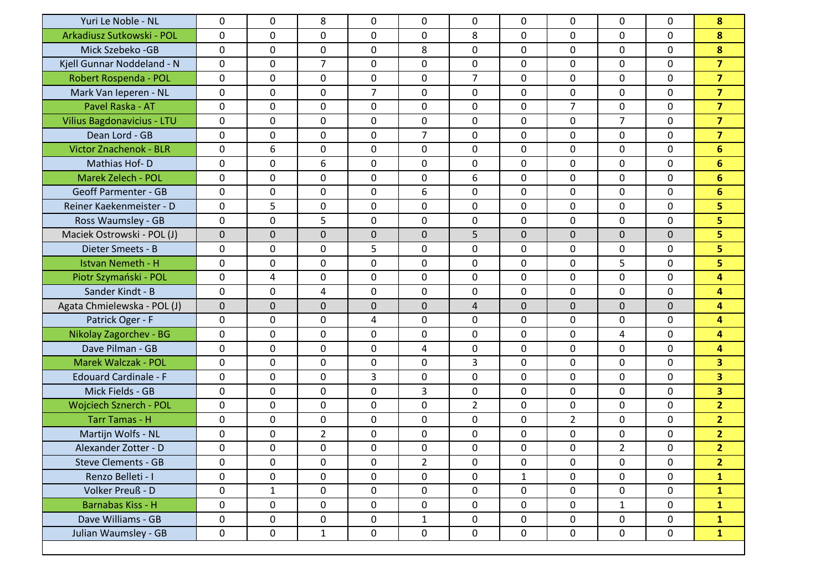| Yuri Le Noble - NL            | $\mathbf{0}$ | $\mathbf{0}$ | 8              | 0              | $\mathbf{0}$   | 0              | 0            | $\mathbf{0}$   | $\Omega$       | $\mathbf{0}$ | 8                       |
|-------------------------------|--------------|--------------|----------------|----------------|----------------|----------------|--------------|----------------|----------------|--------------|-------------------------|
| Arkadiusz Sutkowski - POL     | $\mathbf{0}$ | $\mathbf{0}$ | 0              | 0              | 0              | 8              | 0            | $\mathbf{0}$   | $\mathbf 0$    | $\mathbf{0}$ | 8                       |
| Mick Szebeko - GB             | 0            | 0            | 0              | 0              | 8              | 0              | 0            | 0              | 0              | $\mathbf{0}$ | 8                       |
| Kjell Gunnar Noddeland - N    | $\mathbf{0}$ | 0            | $\overline{7}$ | 0              | 0              | 0              | 0            | 0              | 0              | $\mathbf{0}$ | $\overline{7}$          |
| Robert Rospenda - POL         | $\mathbf 0$  | 0            | $\mathbf 0$    | $\mathbf 0$    | 0              | $\overline{7}$ | $\mathbf 0$  | $\mathbf 0$    | 0              | $\mathbf 0$  | $\overline{7}$          |
| Mark Van Ieperen - NL         | $\mathbf{0}$ | 0            | $\mathbf 0$    | $\overline{7}$ | 0              | 0              | 0            | 0              | 0              | $\mathbf{0}$ | $\overline{7}$          |
| Pavel Raska - AT              | $\mathbf{0}$ | 0            | $\mathbf 0$    | 0              | $\mathbf 0$    | 0              | 0            | $\overline{7}$ | $\mathbf 0$    | $\mathbf{0}$ | $\overline{7}$          |
| Vilius Bagdonavicius - LTU    | 0            | 0            | $\mathbf 0$    | 0              | 0              | 0              | 0            | 0              | 7              | $\mathbf{0}$ | $\overline{7}$          |
| Dean Lord - GB                | $\mathbf{0}$ | 0            | $\mathbf 0$    | $\mathbf 0$    | $\overline{7}$ | 0              | 0            | 0              | 0              | $\mathbf{0}$ | $\overline{7}$          |
| <b>Victor Znachenok - BLR</b> | $\mathbf 0$  | 6            | $\mathbf 0$    | $\mathbf 0$    | 0              | 0              | $\mathbf 0$  | 0              | 0              | $\mathbf 0$  | $6\phantom{1}$          |
| Mathias Hof-D                 | 0            | 0            | 6              | 0              | 0              | 0              | 0            | 0              | 0              | 0            | 6                       |
| Marek Zelech - POL            | $\mathbf{0}$ | 0            | $\mathbf 0$    | 0              | $\mathbf 0$    | 6              | 0            | 0              | $\mathbf 0$    | $\mathbf{0}$ | $6\phantom{1}$          |
| <b>Geoff Parmenter - GB</b>   | 0            | 0            | 0              | 0              | 6              | 0              | 0            | 0              | 0              | $\mathbf{0}$ | $6\phantom{1}$          |
| Reiner Kaekenmeister - D      | $\mathbf 0$  | 5            | $\mathbf 0$    | $\mathbf 0$    | $\mathbf 0$    | 0              | $\mathbf 0$  | $\mathbf 0$    | 0              | $\mathbf 0$  | 5                       |
| Ross Waumsley - GB            | $\mathbf 0$  | $\mathbf{0}$ | 5              | $\mathbf 0$    | 0              | 0              | $\mathbf 0$  | 0              | 0              | $\mathbf 0$  | 5                       |
| Maciek Ostrowski - POL (J)    | $\mathbf 0$  | 0            | 0              | $\mathbf 0$    | $\mathbf 0$    | 5              | $\mathbf 0$  | $\mathbf 0$    | $\mathbf 0$    | $\mathbf{0}$ | 5                       |
| Dieter Smeets - B             | $\mathbf{0}$ | $\mathbf 0$  | $\mathbf 0$    | 5              | $\mathbf 0$    | 0              | 0            | 0              | $\mathbf 0$    | $\mathbf{0}$ | 5                       |
| <b>Istvan Nemeth - H</b>      | 0            | 0            | 0              | $\mathbf 0$    | 0              | 0              | 0            | 0              | 5              | 0            | 5                       |
| Piotr Szymański - POL         | $\mathbf{0}$ | 4            | $\mathbf 0$    | $\mathbf 0$    | 0              | 0              | $\mathbf 0$  | 0              | 0              | $\mathbf 0$  | 4                       |
| Sander Kindt - B              | $\mathbf{0}$ | 0            | 4              | $\mathbf 0$    | 0              | 0              | $\mathbf 0$  | 0              | 0              | $\mathbf 0$  | 4                       |
| Agata Chmielewska - POL (J)   | $\mathbf 0$  | 0            | 0              | $\mathbf 0$    | $\mathbf 0$    | $\overline{4}$ | $\mathbf 0$  | $\mathbf 0$    | $\mathbf 0$    | $\mathbf{0}$ | 4                       |
| Patrick Oger - F              | $\mathbf{0}$ | 0            | $\mathbf 0$    | 4              | $\mathbf 0$    | 0              | 0            | 0              | $\mathbf 0$    | $\mathbf{0}$ | 4                       |
| <b>Nikolay Zagorchev - BG</b> | 0            | 0            | $\mathbf 0$    | $\mathbf 0$    | 0              | 0              | 0            | 0              | 4              | $\mathbf{0}$ | 4                       |
| Dave Pilman - GB              | $\mathbf 0$  | 0            | $\mathbf 0$    | $\mathbf 0$    | 4              | 0              | 0            | $\mathbf 0$    | 0              | $\mathbf 0$  | 4                       |
| Marek Walczak - POL           | 0            | 0            | $\mathbf 0$    | $\pmb{0}$      | 0              | 3              | 0            | 0              | 0              | $\mathbf{0}$ | $\overline{\mathbf{3}}$ |
| <b>Edouard Cardinale - F</b>  | 0            | 0            | 0              | 3              | 0              | 0              | 0            | 0              | 0              | 0            | $\overline{\mathbf{3}}$ |
| Mick Fields - GB              | $\mathbf{0}$ | 0            | $\mathbf 0$    | 0              | 3              | 0              | 0            | 0              | $\mathbf 0$    | $\mathbf{0}$ | $\overline{\mathbf{3}}$ |
| <b>Wojciech Sznerch - POL</b> | 0            | 0            | $\mathbf 0$    | 0              | 0              | $\overline{2}$ | 0            | 0              | 0              | 0            | $\overline{2}$          |
| <b>Tarr Tamas - H</b>         | $\mathbf 0$  | 0            | $\mathbf 0$    | $\mathbf 0$    | $\mathbf 0$    | 0              | 0            | $\overline{2}$ | 0              | $\mathbf{0}$ | $\overline{2}$          |
| Martijn Wolfs - NL            | 0            | 0            | $\overline{2}$ | $\pmb{0}$      | 0              | 0              | 0            | 0              | 0              | 0            | $\overline{2}$          |
| Alexander Zotter - D          | 0            | 0            | 0              | 0              | 0              | 0              | 0            | 0              | $\overline{2}$ | 0            | 2 <sup>1</sup>          |
| <b>Steve Clements - GB</b>    | $\mathbf 0$  | $\mathbf 0$  | 0              | $\mathbf 0$    | $\overline{2}$ | 0              | 0            | $\mathbf 0$    | $\mathbf 0$    | $\mathbf 0$  | $\overline{2}$          |
| Renzo Belleti - I             | $\mathbf 0$  | $\mathbf{0}$ | 0              | $\mathbf 0$    | $\mathbf{0}$   | 0              | $\mathbf{1}$ | $\mathbf{0}$   | 0              | $\mathbf 0$  | $\mathbf{1}$            |
| Volker Preuß - D              | $\mathbf 0$  | $\mathbf{1}$ | 0              | $\mathbf 0$    | $\mathbf 0$    | $\mathbf 0$    | $\mathsf{O}$ | $\mathbf{0}$   | 0              | $\mathsf{O}$ | $\mathbf{1}$            |
| Barnabas Kiss - H             | $\mathsf{O}$ | $\mathbf 0$  | $\mathsf{O}$   | $\mathbf 0$    | $\mathbf 0$    | $\mathbf 0$    | $\mathsf{O}$ | $\mathbf 0$    | $\mathbf{1}$   | $\mathsf{O}$ | $\mathbf{1}$            |
| Dave Williams - GB            | $\mathsf{O}$ | $\mathbf 0$  | $\mathsf{O}$   | $\mathbf 0$    | $\mathbf{1}$   | $\mathbf 0$    | $\mathbf 0$  | 0              | 0              | $\mathbf 0$  | $\mathbf{1}$            |
| Julian Waumsley - GB          | $\mathbf 0$  | $\mathbf 0$  | $\mathbf{1}$   | $\mathbf 0$    | $\mathbf 0$    | $\mathbf 0$    | $\mathsf{O}$ | $\mathbf 0$    | 0              | $\mathbf 0$  | $\mathbf{1}$            |
|                               |              |              |                |                |                |                |              |                |                |              |                         |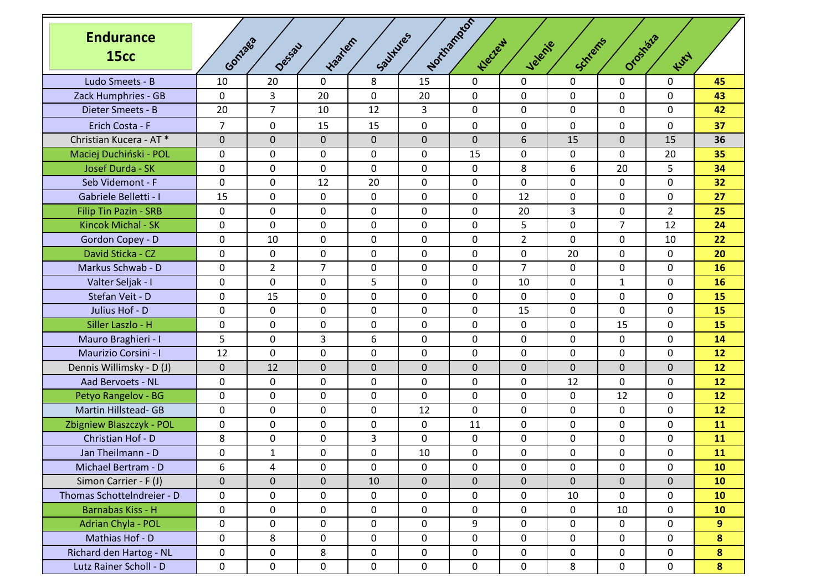| <b>Endurance</b><br><b>15cc</b> | Goniaga        | Dessau         | traction       | Southlies      |              | Northannon<br>Klecter | Jelenie        | Schlems      | Orostazia      | Kurt           |                |
|---------------------------------|----------------|----------------|----------------|----------------|--------------|-----------------------|----------------|--------------|----------------|----------------|----------------|
| Ludo Smeets - B                 | 10             | 20             | 0              | 8              | 15           | $\mathbf 0$           | 0              | $\mathbf{0}$ | 0              | $\mathbf 0$    | 45             |
| Zack Humphries - GB             | 0              | 3              | 20             | $\mathsf{O}$   | 20           | $\mathbf 0$           | 0              | 0            | 0              | $\Omega$       | 43             |
| Dieter Smeets - B               | 20             | $\overline{7}$ | 10             | 12             | 3            | $\mathbf 0$           | 0              | 0            | 0              | $\mathbf{0}$   | 42             |
| Erich Costa - F                 | $\overline{7}$ | $\mathbf 0$    | 15             | 15             | $\mathbf 0$  | $\mathbf 0$           | 0              | $\mathbf 0$  | 0              | $\mathbf 0$    | 37             |
| Christian Kucera - AT *         | $\mathbf 0$    | $\mathbf 0$    | 0              | $\mathbf{0}$   | $\mathbf 0$  | $\Omega$              | 6              | 15           | 0              | 15             | 36             |
| Maciej Duchiński - POL          | 0              | $\mathbf{0}$   | 0              | 0              | $\mathbf{0}$ | 15                    | 0              | $\mathbf{0}$ | 0              | 20             | 35             |
| Josef Durda - SK                | 0              | 0              | 0              | $\mathbf 0$    | 0            | 0                     | 8              | 6            | 20             | 5              | 34             |
| Seb Videmont - F                | 0              | $\mathbf 0$    | 12             | 20             | 0            | $\mathbf 0$           | 0              | 0            | 0              | $\mathbf 0$    | 32             |
| Gabriele Belletti - I           | 15             | $\mathbf 0$    | 0              | $\mathbf 0$    | 0            | $\mathbf 0$           | 12             | 0            | 0              | $\mathbf{0}$   | 27             |
| <b>Filip Tin Pazin - SRB</b>    | 0              | 0              | 0              | $\mathbf 0$    | 0            | 0                     | 20             | 3            | 0              | $\overline{2}$ | 25             |
| Kincok Michal - SK              | 0              | $\mathbf 0$    | 0              | 0              | 0            | $\mathbf 0$           | 5              | $\mathbf{0}$ | $\overline{7}$ | 12             | 24             |
| Gordon Copey - D                | 0              | 10             | 0              | $\mathbf 0$    | 0            | $\mathbf 0$           | $\overline{2}$ | 0            | 0              | 10             | 22             |
| David Sticka - CZ               | 0              | $\mathbf 0$    | 0              | 0              | 0            | $\mathbf 0$           | 0              | 20           | 0              | $\mathbf 0$    | 20             |
| Markus Schwab - D               | 0              | $\overline{2}$ | $\overline{7}$ | $\mathbf 0$    | 0            | $\mathbf 0$           | $\overline{7}$ | 0            | 0              | $\mathbf{0}$   | 16             |
| Valter Seljak - I               | 0              | 0              | 0              | 5              | 0            | 0                     | 10             | 0            | $\mathbf{1}$   | $\mathbf{0}$   | 16             |
| Stefan Veit - D                 | 0              | 15             | 0              | 0              | 0            | $\mathbf 0$           | 0              | $\mathbf{0}$ | 0              | $\mathbf{0}$   | 15             |
| Julius Hof - D                  | 0              | 0              | 0              | $\mathbf 0$    | 0            | 0                     | 15             | 0            | 0              | 0              | 15             |
| Siller Laszlo - H               | 0              | $\mathbf 0$    | 0              | 0              | 0            | $\mathbf 0$           | 0              | 0            | 15             | $\mathbf 0$    | 15             |
| Mauro Braghieri - I             | 5              | $\mathbf 0$    | 3              | 6              | 0            | $\mathbf 0$           | 0              | 0            | $\mathbf 0$    | $\mathbf{0}$   | 14             |
| <b>Maurizio Corsini - I</b>     | 12             | 0              | 0              | 0              | 0            | 0                     | 0              | 0            | 0              | $\mathbf{0}$   | 12             |
| Dennis Willimsky - D (J)        | $\mathbf 0$    | 12             | 0              | $\mathbf{0}$   | $\mathbf 0$  | 0                     | $\mathbf{0}$   | $\mathbf 0$  | $\mathbf{0}$   | $\Omega$       | 12             |
| Aad Bervoets - NL               | 0              | $\mathbf 0$    | 0              | $\mathbf 0$    | 0            | $\mathbf 0$           | 0              | 12           | 0              | $\mathbf 0$    | 12             |
| Petyo Rangelov - BG             | 0              | $\mathbf 0$    | 0              | 0              | 0            | $\mathbf 0$           | 0              | 0            | 12             | $\mathbf 0$    | 12             |
| <b>Martin Hillstead- GB</b>     | 0              | $\mathbf 0$    | 0              | 0              | 12           | $\mathbf 0$           | 0              | 0            | $\mathbf 0$    | $\mathbf{0}$   | 12             |
| Zbigniew Blaszczyk - POL        | 0              | 0              | 0              | $\mathbf 0$    | 0            | 11                    | 0              | 0            | 0              | $\mathbf{0}$   | 11             |
| Christian Hof - D               | 8              | $\mathbf 0$    | 0              | 3              | 0            | 0                     | 0              | 0            | 0              | $\mathbf{0}$   | 11             |
| Jan Theilmann - D               | 0              | $\mathbf{1}$   | 0              | $\overline{0}$ | 10           | $\mathbf 0$           | 0              | $\mathbf 0$  | 0              | $\mathbf 0$    | 11             |
| Michael Bertram - D             | 6              | 4              | 0              | 0              | 0            | $\mathbf 0$           | 0              | 0            | 0              | $\mathbf 0$    | 10             |
| Simon Carrier - F (J)           | $\pmb{0}$      | $\mathbf{0}$   | 0              | 10             | $\mathbf 0$  | $\overline{0}$        | $\mathbf 0$    | $\mathbf 0$  | 0              | $\mathbf{0}$   | 10             |
| Thomas SchotteIndreier - D      | 0              | 0              | 0              | $\mathbf 0$    | 0            | $\mathbf 0$           | 0              | 10           | 0              | $\mathbf 0$    | 10             |
| Barnabas Kiss - H               | 0              | $\mathbf 0$    | 0              | 0              | 0            | $\mathbf 0$           | 0              | 0            | 10             | $\mathbf 0$    | 10             |
| Adrian Chyla - POL              | 0              | $\mathbf 0$    | 0              | $\mathbf 0$    | 0            | 9                     | 0              | 0            | 0              | $\mathbf 0$    | 9 <sup>°</sup> |
| Mathias Hof - D                 | 0              | 8              | 0              | $\mathbf 0$    | $\mathbf 0$  | $\mathbf 0$           | 0              | 0            | 0              | $\mathbf 0$    | 8              |
| Richard den Hartog - NL         | 0              | $\mathbf 0$    | 8              | $\mathbf 0$    | 0            | $\mathbf 0$           | 0              | $\mathbf 0$  | $\mathbf 0$    | $\mathbf 0$    | 8              |
| Lutz Rainer Scholl - D          | 0              | $\mathsf 0$    | $\mathsf{O}$   | $\mathbf 0$    | 0            | $\mathbf 0$           | 0              | 8            | 0              | $\mathbf 0$    | 8              |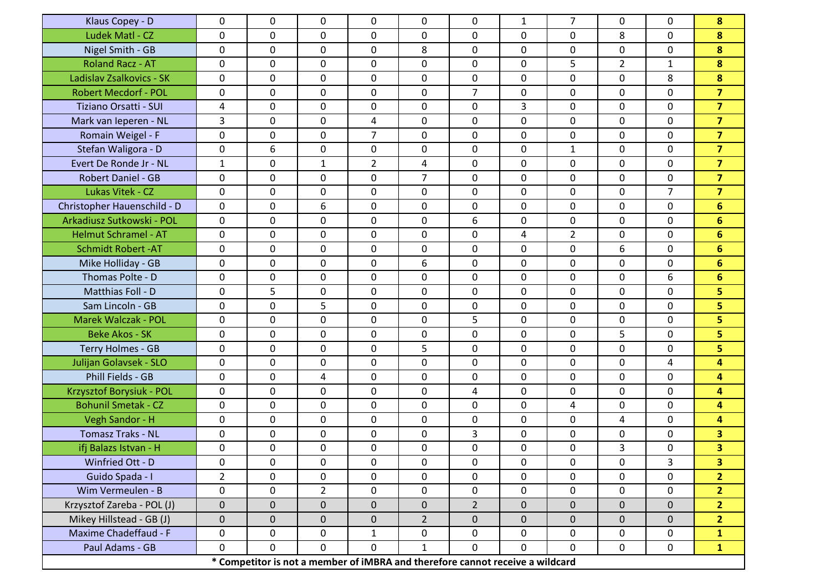| Klaus Copey - D             | 0            | 0           | 0                                                                             | 0              | 0              | 0              | $\mathbf{1}$ | $\overline{7}$ | 0              | 0              | 8                       |
|-----------------------------|--------------|-------------|-------------------------------------------------------------------------------|----------------|----------------|----------------|--------------|----------------|----------------|----------------|-------------------------|
| Ludek Matl - CZ             | 0            | $\mathbf 0$ | 0                                                                             | $\mathbf 0$    | $\mathbf{0}$   | 0              | 0            | 0              | 8              | 0              | 8                       |
| Nigel Smith - GB            | 0            | 0           | 0                                                                             | 0              | 8              | 0              | 0            | 0              | 0              | 0              | 8                       |
| <b>Roland Racz - AT</b>     | 0            | $\mathbf 0$ | 0                                                                             | $\mathbf 0$    | 0              | 0              | 0            | 5              | $\overline{2}$ | $\mathbf{1}$   | 8                       |
| Ladislav Zsalkovics - SK    | 0            | $\mathbf 0$ | 0                                                                             | $\mathbf 0$    | 0              | 0              | 0            | $\mathbf 0$    | $\mathbf 0$    | 8              | 8                       |
| <b>Robert Mecdorf - POL</b> | 0            | $\mathbf 0$ | $\mathbf 0$                                                                   | $\mathbf 0$    | 0              | 7 <sup>1</sup> | 0            | $\mathbf 0$    | $\mathbf 0$    | 0              | $\overline{7}$          |
| Tiziano Orsatti - SUI       | 4            | 0           | 0                                                                             | 0              | 0              | 0              | 3            | 0              | $\mathbf 0$    | 0              | $\overline{7}$          |
| Mark van Ieperen - NL       | 3            | 0           | 0                                                                             | 4              | 0              | 0              | 0            | 0              | 0              | 0              | $\overline{7}$          |
| Romain Weigel - F           | 0            | $\mathbf 0$ | 0                                                                             | $\overline{7}$ | 0              | 0              | 0            | $\mathbf 0$    | $\mathbf 0$    | 0              | $\overline{7}$          |
| Stefan Waligora - D         | 0            | 6           | 0                                                                             | $\mathbf 0$    | 0              | 0              | 0            | $\mathbf{1}$   | $\mathbf 0$    | 0              | $\overline{7}$          |
| Evert De Ronde Jr - NL      | $\mathbf{1}$ | 0           | $\mathbf{1}$                                                                  | $\overline{2}$ | 4              | 0              | 0            | $\mathbf 0$    | $\mathbf 0$    | 0              | $\overline{7}$          |
| <b>Robert Daniel - GB</b>   | 0            | 0           | 0                                                                             | $\mathbf 0$    | $\overline{7}$ | 0              | 0            | 0              | $\mathbf 0$    | 0              | $\overline{7}$          |
| Lukas Vitek - CZ            | 0            | 0           | 0                                                                             | 0              | 0              | 0              | 0            | $\mathbf 0$    | 0              | $\overline{7}$ | $\overline{7}$          |
| Christopher Hauenschild - D | 0            | $\mathbf 0$ | 6                                                                             | $\mathbf 0$    | 0              | 0              | 0            | $\mathbf 0$    | $\mathbf 0$    | 0              | $6\overline{6}$         |
| Arkadiusz Sutkowski - POL   | 0            | $\mathbf 0$ | 0                                                                             | $\mathbf 0$    | 0              | 6              | 0            | $\mathbf 0$    | $\mathbf 0$    | 0              | $6\overline{6}$         |
| <b>Helmut Schramel - AT</b> | 0            | 0           | 0                                                                             | $\mathbf 0$    | 0              | 0              | 4            | $\overline{2}$ | 0              | 0              | $6\phantom{a}$          |
| <b>Schmidt Robert - AT</b>  | 0            | $\mathbf 0$ | 0                                                                             | $\mathbf 0$    | 0              | 0              | 0            | 0              | 6              | 0              | 6                       |
| Mike Holliday - GB          | 0            | 0           | 0                                                                             | 0              | 6              | 0              | 0            | 0              | 0              | 0              | $6\phantom{1}$          |
| Thomas Polte - D            | 0            | $\mathbf 0$ | 0                                                                             | $\mathbf 0$    | 0              | 0              | 0            | $\mathbf 0$    | $\mathbf 0$    | 6              | $6\phantom{1}$          |
| Matthias Foll - D           | 0            | 5           | 0                                                                             | $\mathbf 0$    | $\mathbf{0}$   | 0              | 0            | $\mathbf 0$    | $\mathbf 0$    | 0              | 5                       |
| Sam Lincoln - GB            | 0            | 0           | 5                                                                             | $\mathbf 0$    | 0              | 0              | 0            | $\mathbf 0$    | 0              | 0              | 5                       |
| <b>Marek Walczak - POL</b>  | 0            | $\mathbf 0$ | 0                                                                             | $\mathbf 0$    | 0              | 5              | 0            | $\mathbf 0$    | $\mathbf 0$    | 0              | 5                       |
| <b>Beke Akos - SK</b>       | 0            | 0           | 0                                                                             | $\mathbf 0$    | 0              | 0              | 0            | 0              | 5              | 0              | 5                       |
| Terry Holmes - GB           | 0            | $\mathbf 0$ | 0                                                                             | $\mathbf 0$    | 5              | 0              | 0            | $\mathbf 0$    | $\mathbf 0$    | 0              | 5                       |
| Julijan Golavsek - SLO      | 0            | 0           | 0                                                                             | $\mathbf 0$    | 0              | 0              | 0            | 0              | $\Omega$       | 4              | 4                       |
| Phill Fields - GB           | 0            | 0           | 4                                                                             | $\mathbf 0$    | 0              | 0              | 0            | 0              | 0              | 0              | 4                       |
| Krzysztof Borysiuk - POL    | 0            | $\mathbf 0$ | 0                                                                             | $\mathbf 0$    | 0              | 4              | 0            | 0              | $\mathbf 0$    | 0              | $\overline{\mathbf{4}}$ |
| <b>Bohunil Smetak - CZ</b>  | 0            | 0           | 0                                                                             | 0              | 0              | 0              | 0            | 4              | 0              | 0              | 4                       |
| Vegh Sandor - H             | 0            | $\mathbf 0$ | 0                                                                             | $\mathbf 0$    | 0              | 0              | 0            | $\mathbf 0$    | 4              | 0              | 4                       |
| <b>Tomasz Traks - NL</b>    | 0            | 0           | $\mathbf 0$                                                                   | 0              | 0              | 3              | 0            | 0              | 0              | 0              | $\overline{\mathbf{3}}$ |
| ifj Balazs Istvan - H       | 0            | $\mathbf 0$ | 0                                                                             | 0              | 0              | 0              | 0            | $\mathbf 0$    | 3              | 0              | 3                       |
| Winfried Ott - D            | 0            | 0           | 0                                                                             | $\mathbf 0$    | 0              | 0              | 0            | 0              | 0              | 3              | 3 <sup>1</sup>          |
| Guido Spada - I             | $2^{\circ}$  | 0           | 0                                                                             | $\mathbf 0$    | 0              | 0              | 0            | 0              | 0              | 0              | 2 <sup>1</sup>          |
| Wim Vermeulen - B           | 0            | $\mathbf 0$ | $\overline{2}$                                                                | $\mathbf 0$    | 0              | 0              | 0            | $\mathbf 0$    | $\mathbf 0$    | 0              | 2 <sup>1</sup>          |
| Krzysztof Zareba - POL (J)  | $\pmb{0}$    | $\mathbf 0$ | 0                                                                             | $\mathbf 0$    | 0              | $\overline{2}$ | 0            | $\mathbf 0$    | $\mathbf 0$    | $\mathbf 0$    | $\overline{2}$          |
| Mikey Hillstead - GB (J)    | $\mathbf 0$  | 0           | $\overline{0}$                                                                | $\overline{0}$ | $2^{\circ}$    | $\overline{0}$ | 0            | 0              | $\mathbf 0$    | $\mathbf 0$    | 2 <sup>1</sup>          |
| Maxime Chadeffaud - F       | 0            | $\mathbf 0$ | 0                                                                             | $\mathbf{1}$   | $\mathbf 0$    | $\mathbf 0$    | 0            | $\mathbf 0$    | $\mathbf 0$    | $\mathsf{O}$   | $\mathbf{1}$            |
| Paul Adams - GB             | 0            | 0           | 0                                                                             | $\mathbf 0$    | $\mathbf{1}$   | $\mathbf 0$    | 0            | 0              | 0              | 0              | $\mathbf{1}$            |
|                             |              |             | * Competitor is not a member of iMBRA and therefore cannot receive a wildcard |                |                |                |              |                |                |                |                         |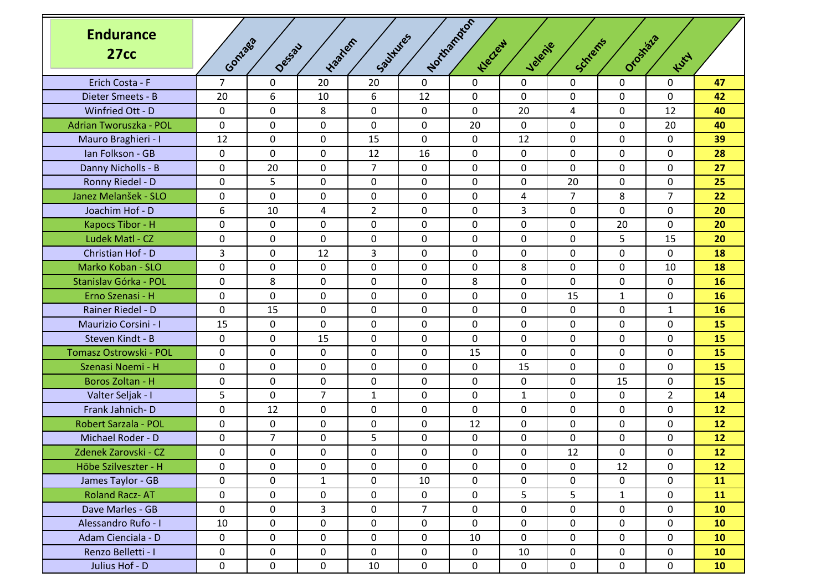| <b>Endurance</b><br>27cc | Gonzas         | Dessau         | tracher        | Southlies       |                | Northstaton<br>Klectery | Jelenie      | Schlems        | Orostata     | Kurt           |                 |
|--------------------------|----------------|----------------|----------------|-----------------|----------------|-------------------------|--------------|----------------|--------------|----------------|-----------------|
| Erich Costa - F          | $\overline{7}$ | $\mathbf 0$    | 20             | 20              | $\Omega$       | $\mathbf 0$             | 0            | $\mathbf 0$    | 0            | 0              | 47              |
| Dieter Smeets - B        | 20             | 6              | 10             | 6               | 12             | 0                       | 0            | $\mathbf 0$    | $\mathbf 0$  | $\Omega$       | 42              |
| Winfried Ott - D         | 0              | $\mathbf 0$    | 8              | 0               | 0              | 0                       | 20           | 4              | 0            | 12             | 40              |
| Adrian Tworuszka - POL   | 0              | $\mathbf 0$    | 0              | 0               | $\mathbf 0$    | 20                      | 0            | $\mathbf 0$    | $\mathbf 0$  | 20             | 40              |
| Mauro Braghieri - I      | 12             | 0              | 0              | 15              | $\mathbf{0}$   | 0                       | 12           | 0              | 0            | 0              | 39              |
| Ian Folkson - GB         | 0              | $\mathbf 0$    | 0              | 12              | 16             | 0                       | 0            | $\mathbf 0$    | $\mathbf 0$  | 0              | 28              |
| Danny Nicholls - B       | 0              | 20             | 0              | 7               | 0              | 0                       | 0            | 0              | 0            | 0              | 27              |
| Ronny Riedel - D         | 0              | 5              | 0              | 0               | 0              | 0                       | 0            | 20             | 0            | 0              | 25              |
| Janez Melanšek - SLO     | 0              | $\mathbf 0$    | 0              | 0               | $\mathbf 0$    | 0                       | 4            | $\overline{7}$ | 8            | $\overline{7}$ | 22              |
| Joachim Hof - D          | 6              | 10             | 4              | $\overline{2}$  | 0              | 0                       | 3            | 0              | $\mathbf 0$  | $\Omega$       | 20              |
| Kapocs Tibor - H         | 0              | $\mathbf 0$    | 0              | 0               | 0              | 0                       | 0            | $\mathbf 0$    | 20           | 0              | 20              |
| Ludek Matl - CZ          | 0              | 0              | 0              | 0               | 0              | 0                       | 0            | 0              | 5            | 15             | 20              |
| Christian Hof - D        | 3              | $\mathbf 0$    | 12             | 3               | 0              | 0                       | 0            | $\mathbf 0$    | 0            | 0              | 18              |
| Marko Koban - SLO        | 0              | $\mathbf 0$    | 0              | 0               | $\mathbf 0$    | 0                       | 8            | $\mathbf 0$    | $\mathbf 0$  | 10             | 18              |
| Stanislav Górka - POL    | 0              | 8              | $\mathbf{0}$   | 0               | 0              | 8                       | $\mathbf 0$  | 0              | 0            | $\Omega$       | 16              |
| Erno Szenasi - H         | 0              | $\mathbf 0$    | 0              | 0               | 0              | 0                       | 0            | 15             | $\mathbf{1}$ | 0              | 16              |
| Rainer Riedel - D        | 0              | 15             | 0              | 0               | 0              | 0                       | 0            | 0              | $\mathbf 0$  | $\mathbf{1}$   | 16              |
| Maurizio Corsini - I     | 15             | 0              | 0              | 0               | 0              | 0                       | 0            | $\mathbf 0$    | 0            | 0              | 15              |
| Steven Kindt - B         | 0              | $\mathbf 0$    | 15             | 0               | $\mathbf 0$    | 0                       | 0            | $\mathbf 0$    | $\mathbf 0$  | 0              | 15              |
| Tomasz Ostrowski - POL   | 0              | 0              | 0              | 0               | 0              | 15                      | 0            | 0              | 0            | $\Omega$       | 15              |
| Szenasi Noemi - H        | 0              | $\mathbf 0$    | 0              | 0               | 0              | 0                       | 15           | $\mathbf 0$    | $\mathbf 0$  | 0              | 15              |
| Boros Zoltan - H         | 0              | 0              | 0              | 0               | 0              | 0                       | 0            | 0              | 15           | 0              | 15              |
| Valter Seljak - I        | 5              | $\mathbf 0$    | $\overline{7}$ | $\mathbf{1}$    | 0              | $\mathbf 0$             | $\mathbf{1}$ | $\mathbf 0$    | $\mathbf 0$  | $\overline{2}$ | 14              |
| Frank Jahnich-D          | 0              | 12             | 0              | 0               | $\mathbf 0$    | 0                       | 0            | $\mathbf 0$    | $\mathbf 0$  | 0              | 12              |
| Robert Sarzala - POL     | 0              | 0              | 0              | 0               | 0              | 12                      | 0            | 0              | 0            | 0              | 12              |
| Michael Roder - D        | 0              | $\overline{7}$ | 0              | 5               | 0              | 0                       | 0            | 0              | 0            | 0              | 12              |
| Zdenek Zarovski - CZ     | 0              | $\mathbf 0$    | 0              | 0               | 0              | 0                       | 0            | 12             | 0            | $\Omega$       | 12              |
| Höbe Szilveszter - H     | 0              | $\mathbf 0$    | $\mathbf 0$    | $\mathsf{O}$    | $\mathbf 0$    | $\mathsf{O}$            | $\mathsf{O}$ | $\mathbf 0$    | 12           | $\mathbf 0$    | 12              |
| James Taylor - GB        | 0              | $\mathbf 0$    | $\mathbf{1}$   | $\mathsf{O}$    | 10             | $\mathbf 0$             | $\mathbf 0$  | $\mathbf 0$    | $\mathbf 0$  | $\mathbf 0$    | 11              |
| <b>Roland Racz-AT</b>    | 0              | 0              | 0              | 0               | $\mathbf 0$    | 0                       | 5            | 5              | $\mathbf{1}$ | $\mathbf 0$    | 11              |
| Dave Marles - GB         | 0              | $\mathbf 0$    | 3              | $\mathsf{O}$    | $\overline{7}$ | $\mathsf{O}$            | 0            | $\mathbf 0$    | $\mathbf 0$  | 0              | 10 <sub>1</sub> |
| Alessandro Rufo - I      | 10             | 0              | 0              | $\mathbf 0$     | 0              | 0                       | 0            | 0              | 0            | $\mathbf 0$    | 10              |
| Adam Cienciala - D       | $\mathsf{O}$   | 0              | 0              | $\mathsf{O}$    | $\mathbf 0$    | 10                      | $\mathbf 0$  | $\mathbf 0$    | $\mathbf 0$  | $\mathbf 0$    | 10 <sub>1</sub> |
| Renzo Belletti - I       | 0              | $\mathbf 0$    | 0              | $\mathsf{O}$    | $\mathbf 0$    | $\mathbf 0$             | 10           | $\mathbf 0$    | $\mathbf 0$  | $\mathbf 0$    | 10 <sub>1</sub> |
| Julius Hof - D           | 0              | $\mathbf 0$    | $\mathsf{O}$   | 10 <sup>°</sup> | $\mathbf 0$    | $\mathsf{O}$            | $\mathbf 0$  | $\mathbf 0$    | $\mathbf 0$  | $\mathbf 0$    | 10 <sub>1</sub> |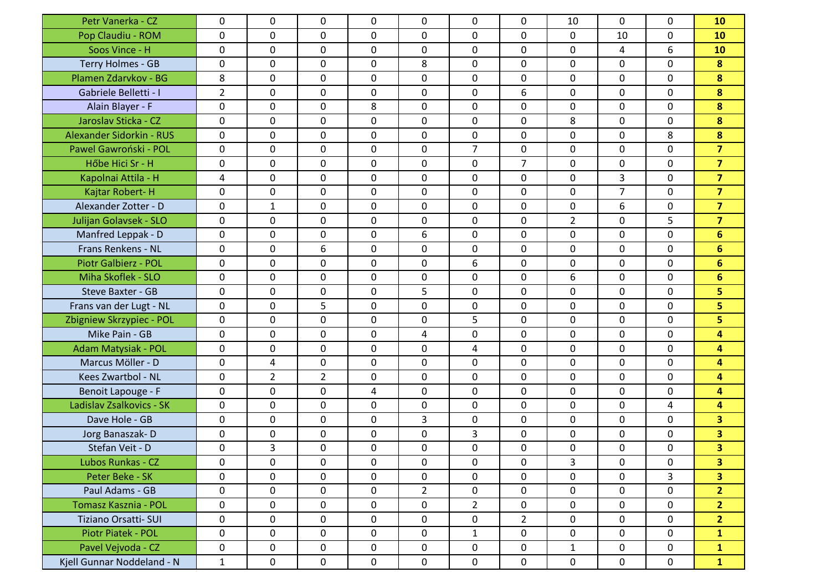| Petr Vanerka - CZ           | 0              | 0              | 0              | 0           | $\mathbf{0}$   | 0              | 0              | 10             | 0              | $\mathbf 0$  | 10                      |
|-----------------------------|----------------|----------------|----------------|-------------|----------------|----------------|----------------|----------------|----------------|--------------|-------------------------|
| Pop Claudiu - ROM           | 0              | $\mathbf 0$    | 0              | $\mathbf 0$ | $\mathbf 0$    | 0              | 0              | 0              | 10             | $\mathbf 0$  | 10                      |
| Soos Vince - H              | 0              | 0              | 0              | 0           | 0              | 0              | 0              | 0              | 4              | 6            | 10                      |
| Terry Holmes - GB           | 0              | $\mathbf 0$    | 0              | $\mathbf 0$ | 8              | 0              | $\mathbf 0$    | 0              | 0              | $\mathbf{0}$ | 8                       |
| Plamen Zdarvkov - BG        | 8              | 0              | 0              | 0           | $\mathbf{0}$   | 0              | 0              | $\mathbf{0}$   | 0              | $\mathbf{0}$ | 8                       |
| Gabriele Belletti - I       | $\overline{2}$ | 0              | 0              | 0           | 0              | 0              | 6              | 0              | 0              | $\mathbf{0}$ | 8                       |
| Alain Blayer - F            | 0              | $\mathbf 0$    | 0              | 8           | 0              | 0              | 0              | 0              | 0              | 0            | 8                       |
| Jaroslav Sticka - CZ        | 0              | $\mathbf 0$    | 0              | 0           | 0              | 0              | 0              | 8              | $\Omega$       | $\mathbf{0}$ | 8                       |
| Alexander Sidorkin - RUS    | $\mathbf{0}$   | $\mathbf 0$    | 0              | 0           | $\mathbf{0}$   | 0              | 0              | 0              | 0              | 8            | 8                       |
| Pawel Gawroński - POL       | 0              | 0              | 0              | 0           | $\mathbf{0}$   | $\overline{7}$ | 0              | 0              | 0              | $\mathbf{0}$ | $\overline{7}$          |
| Hőbe Hici Sr - H            | $\mathbf{0}$   | $\mathbf 0$    | 0              | 0           | $\mathbf 0$    | 0              | $\overline{7}$ | 0              | 0              | $\mathbf{0}$ | $\overline{7}$          |
| Kapolnai Attila - H         | $\overline{4}$ | $\mathbf 0$    | 0              | 0           | $\mathbf 0$    | 0              | $\mathbf 0$    | 0              | 3              | $\mathbf 0$  | $\overline{7}$          |
| Kajtar Robert-H             | 0              | 0              | 0              | 0           | 0              | 0              | 0              | 0              | $\overline{7}$ | $\mathbf{0}$ | $\overline{7}$          |
| Alexander Zotter - D        | $\mathbf{0}$   | $\mathbf{1}$   | 0              | 0           | $\mathbf 0$    | 0              | $\mathbf 0$    | 0              | 6              | $\mathbf{0}$ | $\overline{7}$          |
| Julijan Golavsek - SLO      | 0              | 0              | 0              | 0           | $\mathbf{0}$   | 0              | 0              | $\overline{2}$ | $\Omega$       | 5            | $\overline{\mathbf{z}}$ |
| Manfred Leppak - D          | $\mathbf{0}$   | 0              | 0              | $\mathbf 0$ | 6              | 0              | 0              | $\mathbf{0}$   | 0              | $\mathbf{0}$ | $6\phantom{a}$          |
| Frans Renkens - NL          | 0              | $\mathbf 0$    | 6              | $\mathbf 0$ | $\mathbf 0$    | 0              | 0              | 0              | 0              | 0            | $6\phantom{1}$          |
| <b>Piotr Galbierz - POL</b> | 0              | $\mathbf 0$    | 0              | 0           | 0              | 6              | 0              | 0              | 0              | 0            | 6                       |
| Miha Skoflek - SLO          | $\mathbf 0$    | 0              | 0              | $\mathbf 0$ | $\mathbf 0$    | 0              | $\mathbf 0$    | 6              | 0              | $\mathbf{0}$ | $6\phantom{1}$          |
| <b>Steve Baxter - GB</b>    | 0              | 0              | 0              | 0           | 5              | 0              | 0              | $\mathbf{0}$   | 0              | $\mathbf{0}$ | 5                       |
| Frans van der Lugt - NL     | $\mathbf{0}$   | 0              | 5              | 0           | $\mathbf 0$    | 0              | 0              | $\mathbf{0}$   | 0              | $\mathbf{0}$ | 5                       |
| Zbigniew Skrzypiec - POL    | 0              | $\mathbf 0$    | 0              | $\mathbf 0$ | $\mathbf 0$    | 5              | 0              | 0              | 0              | $\mathbf 0$  | 5                       |
| Mike Pain - GB              | 0              | $\mathbf 0$    | 0              | 0           | 4              | 0              | 0              | 0              | 0              | 0            | 4                       |
| Adam Matysiak - POL         | $\mathbf{0}$   | 0              | 0              | $\mathbf 0$ | $\mathbf 0$    | 4              | 0              | 0              | 0              | $\Omega$     | 4                       |
| Marcus Möller - D           | 0              | 4              | 0              | 0           | 0              | 0              | 0              | 0              | 0              | $\mathbf{0}$ | 4                       |
| Kees Zwartbol - NL          | 0              | $\overline{2}$ | $\overline{2}$ | 0           | $\mathbf 0$    | 0              | $\mathbf 0$    | 0              | 0              | $\mathbf 0$  | 4                       |
| Benoit Lapouge - F          | 0              | $\mathbf 0$    | 0              | 4           | 0              | 0              | $\mathbf 0$    | 0              | 0              | 0            | 4                       |
| Ladislav Zsalkovics - SK    | 0              | 0              | 0              | 0           | 0              | 0              | 0              | 0              | 0              | 4            | 4                       |
| Dave Hole - GB              | 0              | $\mathbf 0$    | 0              | $\mathbf 0$ | 3              | 0              | $\mathbf 0$    | 0              | 0              | $\mathbf{0}$ | $\overline{\mathbf{3}}$ |
| Jorg Banaszak-D             | 0              | $\mathbf 0$    | 0              | 0           | 0              | 3              | 0              | 0              | $\Omega$       | $\mathbf{0}$ | 3                       |
| Stefan Veit - D             | $\mathbf 0$    | 3              | 0              | 0           | $\mathbf 0$    | 0              | $\mathbf 0$    | 0              | 0              | $\mathbf 0$  | $\overline{\mathbf{3}}$ |
| Lubos Runkas - CZ           | 0              | 0              | 0              | 0           | 0              | 0              | 0              | 3              | 0              | 0            | 3 <sup>1</sup>          |
| Peter Beke - SK             | 0              | 0              | 0              | 0           | 0              | 0              | 0              | 0              | 0              | 3            | 3 <sup>1</sup>          |
| Paul Adams - GB             | 0              | $\mathbf 0$    | 0              | $\mathbf 0$ | $\overline{2}$ | 0              | 0              | 0              | 0              | $\mathbf 0$  | 2 <sup>1</sup>          |
| Tomasz Kasznia - POL        | 0              | $\mathbf 0$    | $\mathbf 0$    | 0           | 0              | $\overline{2}$ | 0              | 0              | 0              | $\mathbf 0$  | 2 <sup>1</sup>          |
| Tiziano Orsatti- SUI        | 0              | $\mathbf 0$    | 0              | $\mathbf 0$ | $\mathbf 0$    | $\mathsf{O}$   | $2^{\circ}$    | 0              | 0              | $\mathbf 0$  | 2 <sup>1</sup>          |
| Piotr Piatek - POL          | 0              | 0              | 0              | $\mathbf 0$ | 0              | $\mathbf{1}$   | 0              | 0              | 0              | $\mathbf 0$  | $\mathbf{1}$            |
| Pavel Vejvoda - CZ          | 0              | 0              | 0              | 0           | 0              | $\mathsf{O}$   | 0              | $\mathbf{1}$   | 0              | $\mathbf 0$  | $\mathbf{1}$            |
| Kjell Gunnar Noddeland - N  | $\mathbf{1}$   | $\mathbf 0$    | $\mathbf 0$    | $\mathbf 0$ | 0              | $\mathsf{O}$   | 0              | 0              | 0              | $\mathbf 0$  | $\mathbf{1}$            |